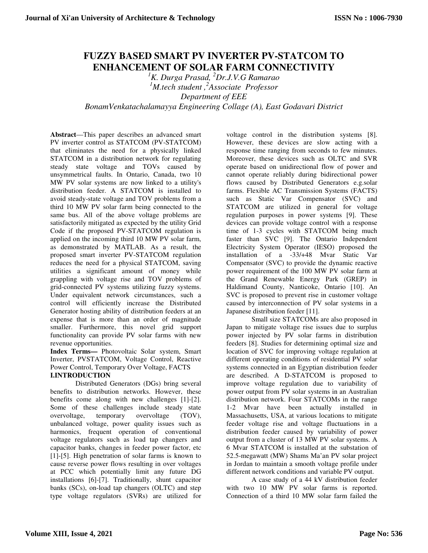# **FUZZY BASED SMART PV INVERTER PV-STATCOM TO ENHANCEMENT OF SOLAR FARM CONNECTIVITY**

*<sup>1</sup>K. Durga Prasad, <sup>2</sup>Dr.J.V.G Ramarao <sup>1</sup>M.tech student ,<sup>2</sup> Associate Professor Department of EEE BonamVenkatachalamayya Engineering Collage (A), East Godavari District* 

**Abstract**—This paper describes an advanced smart PV inverter control as STATCOM (PV-STATCOM) that eliminates the need for a physically linked STATCOM in a distribution network for regulating steady state voltage and TOVs caused by unsymmetrical faults. In Ontario, Canada, two 10 MW PV solar systems are now linked to a utility's distribution feeder. A STATCOM is installed to avoid steady-state voltage and TOV problems from a third 10 MW PV solar farm being connected to the same bus. All of the above voltage problems are satisfactorily mitigated as expected by the utility Grid Code if the proposed PV-STATCOM regulation is applied on the incoming third 10 MW PV solar farm, as demonstrated by MATLAB. As a result, the proposed smart inverter PV-STATCOM regulation reduces the need for a physical STATCOM, saving utilities a significant amount of money while grappling with voltage rise and TOV problems of grid-connected PV systems utilizing fuzzy systems. Under equivalent network circumstances, such a control will efficiently increase the Distributed Generator hosting ability of distribution feeders at an expense that is more than an order of magnitude smaller. Furthermore, this novel grid support functionality can provide PV solar farms with new revenue opportunities.

**Index Terms—** Photovoltaic Solar system, Smart Inverter, PVSTATCOM, Voltage Control, Reactive Power Control, Temporary Over Voltage, FACTS

# **I.INTRODUCTION**

Distributed Generators (DGs) bring several benefits to distribution networks. However, these benefits come along with new challenges [1]-[2]. Some of these challenges include steady state overvoltage, temporary overvoltage (TOV), unbalanced voltage, power quality issues such as harmonics, frequent operation of conventional voltage regulators such as load tap changers and capacitor banks, changes in feeder power factor, etc [1]-[5]. High penetration of solar farms is known to cause reverse power flows resulting in over voltages at PCC which potentially limit any future DG installations [6]-[7]. Traditionally, shunt capacitor banks (SCs), on-load tap changers (OLTC) and step type voltage regulators (SVRs) are utilized for voltage control in the distribution systems [8]. However, these devices are slow acting with a response time ranging from seconds to few minutes. Moreover, these devices such as OLTC and SVR operate based on unidirectional flow of power and cannot operate reliably during bidirectional power flows caused by Distributed Generators e.g.solar farms. Flexible AC Transmission Systems (FACTS) such as Static Var Compensator (SVC) and STATCOM are utilized in general for voltage regulation purposes in power systems [9]. These devices can provide voltage control with a response time of 1-3 cycles with STATCOM being much faster than SVC [9]. The Ontario Independent Electricity System Operator (IESO) proposed the installation of a -33/+48 Mvar Static Var Compensator (SVC) to provide the dynamic reactive power requirement of the 100 MW PV solar farm at the Grand Renewable Energy Park (GREP) in Haldimand County, Nanticoke, Ontario [10]. An SVC is proposed to prevent rise in customer voltage caused by interconnection of PV solar systems in a Japanese distribution feeder [11].

Small size STATCOMs are also proposed in Japan to mitigate voltage rise issues due to surplus power injected by PV solar farms in distribution feeders [8]. Studies for determining optimal size and location of SVC for improving voltage regulation at different operating conditions of residential PV solar systems connected in an Egyptian distribution feeder are described. A D-STATCOM is proposed to improve voltage regulation due to variability of power output from PV solar systems in an Australian distribution network. Four STATCOMs in the range 1-2 Mvar have been actually installed in Massachusetts, USA, at various locations to mitigate feeder voltage rise and voltage fluctuations in a distribution feeder caused by variability of power output from a cluster of 13 MW PV solar systems. A 6 Mvar STATCOM is installed at the substation of 52.5-megawatt (MW) Shams Ma'an PV solar project in Jordan to maintain a smooth voltage profile under different network conditions and variable PV output.

A case study of a 44 kV distribution feeder with two 10 MW PV solar farms is reported. Connection of a third 10 MW solar farm failed the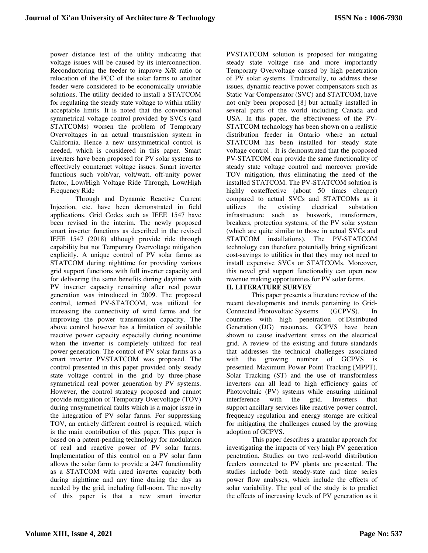power distance test of the utility indicating that voltage issues will be caused by its interconnection. Reconductoring the feeder to improve X/R ratio or relocation of the PCC of the solar farms to another feeder were considered to be economically unviable solutions. The utility decided to install a STATCOM for regulating the steady state voltage to within utility acceptable limits. It is noted that the conventional symmetrical voltage control provided by SVCs (and STATCOMs) worsen the problem of Temporary Overvoltages in an actual transmission system in California. Hence a new unsymmetrical control is needed, which is considered in this paper. Smart inverters have been proposed for PV solar systems to effectively counteract voltage issues. Smart inverter functions such volt/var, volt/watt, off-unity power factor, Low/High Voltage Ride Through, Low/High Frequency Ride

Through and Dynamic Reactive Current Injection, etc. have been demonstrated in field applications. Grid Codes such as IEEE 1547 have been revised in the interim. The newly proposed smart inverter functions as described in the revised IEEE 1547 (2018) although provide ride through capability but not Temporary Overvoltage mitigation explicitly. A unique control of PV solar farms as STATCOM during nighttime for providing various grid support functions with full inverter capacity and for delivering the same benefits during daytime with PV inverter capacity remaining after real power generation was introduced in 2009. The proposed control, termed PV-STATCOM, was utilized for increasing the connectivity of wind farms and for improving the power transmission capacity. The above control however has a limitation of available reactive power capacity especially during noontime when the inverter is completely utilized for real power generation. The control of PV solar farms as a smart inverter PVSTATCOM was proposed. The control presented in this paper provided only steady state voltage control in the grid by three-phase symmetrical real power generation by PV systems. However, the control strategy proposed and cannot provide mitigation of Temporary Overvoltage (TOV) during unsymmetrical faults which is a major issue in the integration of PV solar farms. For suppressing TOV, an entirely different control is required, which is the main contribution of this paper. This paper is based on a patent-pending technology for modulation of real and reactive power of PV solar farms. Implementation of this control on a PV solar farm allows the solar farm to provide a 24/7 functionality as a STATCOM with rated inverter capacity both during nighttime and any time during the day as needed by the grid, including full-noon. The novelty of this paper is that a new smart inverter

PVSTATCOM solution is proposed for mitigating steady state voltage rise and more importantly Temporary Overvoltage caused by high penetration of PV solar systems. Traditionally, to address these issues, dynamic reactive power compensators such as Static Var Compensator (SVC) and STATCOM, have not only been proposed [8] but actually installed in several parts of the world including Canada and USA. In this paper, the effectiveness of the PV-STATCOM technology has been shown on a realistic distribution feeder in Ontario where an actual STATCOM has been installed for steady state voltage control . It is demonstrated that the proposed PV-STATCOM can provide the same functionality of steady state voltage control and moreover provide TOV mitigation, thus eliminating the need of the installed STATCOM. The PV-STATCOM solution is highly costeffective (about 50 times cheaper) compared to actual SVCs and STATCOMs as it utilizes the existing electrical substation infrastructure such as buswork, transformers, breakers, protection systems, of the PV solar system (which are quite similar to those in actual SVCs and STATCOM installations). The PV-STATCOM technology can therefore potentially bring significant cost-savings to utilities in that they may not need to install expensive SVCs or STATCOMs. Moreover, this novel grid support functionality can open new revenue making opportunities for PV solar farms.

# **II. LITERATURE SURVEY**

This paper presents a literature review of the recent developments and trends pertaining to Grid-Connected Photovoltaic Systems (GCPVS). In countries with high penetration of Distributed Generation (DG) resources, GCPVS have been shown to cause inadvertent stress on the electrical grid. A review of the existing and future standards that addresses the technical challenges associated with the growing number of GCPVS is presented. Maximum Power Point Tracking (MPPT), Solar Tracking (ST) and the use of transformless inverters can all lead to high efficiency gains of Photovoltaic (PV) systems while ensuring minimal interference with the grid. Inverters that support ancillary services like reactive power control, frequency regulation and energy storage are critical for mitigating the challenges caused by the growing adoption of GCPVS.

This paper describes a granular approach for investigating the impacts of very high PV generation penetration. Studies on two real-world distribution feeders connected to PV plants are presented. The studies include both steady-state and time series power flow analyses, which include the effects of solar variability. The goal of the study is to predict the effects of increasing levels of PV generation as it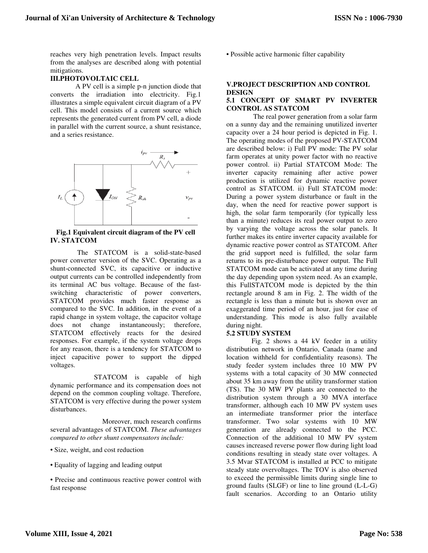reaches very high penetration levels. Impact results from the analyses are described along with potential mitigations.

# **III.PHOTOVOLTAIC CELL**

A PV cell is a simple p-n junction diode that converts the irradiation into electricity. Fig.1 illustrates a simple equivalent circuit diagram of a PV cell. This model consists of a current source which represents the generated current from PV cell, a diode in parallel with the current source, a shunt resistance, and a series resistance.



#### **Fig.1 Equivalent circuit diagram of the PV cell IV. STATCOM**

 The STATCOM is a solid-state-based power converter version of the SVC. Operating as a shunt-connected SVC, its capacitive or inductive output currents can be controlled independently from its terminal AC bus voltage. Because of the fastswitching characteristic of power converters, STATCOM provides much faster response as compared to the SVC. In addition, in the event of a rapid change in system voltage, the capacitor voltage does not change instantaneously; therefore, STATCOM effectively reacts for the desired responses. For example, if the system voltage drops for any reason, there is a tendency for STATCOM to inject capacitive power to support the dipped voltages.

 STATCOM is capable of high dynamic performance and its compensation does not depend on the common coupling voltage. Therefore, STATCOM is very effective during the power system disturbances.

 Moreover, much research confirms several advantages of STATCOM. *These advantages compared to other shunt compensators include:*

- Size, weight, and cost reduction
- Equality of lagging and leading output
- Precise and continuous reactive power control with fast response

• Possible active harmonic filter capability

# **V.PROJECT DESCRIPTION AND CONTROL DESIGN**

### **5.1 CONCEPT OF SMART PV INVERTER CONTROL AS STATCOM**

 The real power generation from a solar farm on a sunny day and the remaining unutilized inverter capacity over a 24 hour period is depicted in Fig. 1. The operating modes of the proposed PV-STATCOM are described below: i) Full PV mode: The PV solar farm operates at unity power factor with no reactive power control. ii) Partial STATCOM Mode: The inverter capacity remaining after active power production is utilized for dynamic reactive power control as STATCOM. ii) Full STATCOM mode: During a power system disturbance or fault in the day, when the need for reactive power support is high, the solar farm temporarily (for typically less than a minute) reduces its real power output to zero by varying the voltage across the solar panels. It further makes its entire inverter capacity available for dynamic reactive power control as STATCOM. After the grid support need is fulfilled, the solar farm returns to its pre-disturbance power output. The Full STATCOM mode can be activated at any time during the day depending upon system need. As an example, this FullSTATCOM mode is depicted by the thin rectangle around 8 am in Fig. 2. The width of the rectangle is less than a minute but is shown over an exaggerated time period of an hour, just for ease of understanding. This mode is also fully available during night.

# **5.2 STUDY SYSTEM**

Fig. 2 shows a 44 kV feeder in a utility distribution network in Ontario, Canada (name and location withheld for confidentiality reasons). The study feeder system includes three 10 MW PV systems with a total capacity of 30 MW connected about 35 km away from the utility transformer station (TS). The 30 MW PV plants are connected to the distribution system through a 30 MVA interface transformer, although each 10 MW PV system uses an intermediate transformer prior the interface transformer. Two solar systems with 10 MW generation are already connected to the PCC. Connection of the additional 10 MW PV system causes increased reverse power flow during light load conditions resulting in steady state over voltages. A 3.5 Mvar STATCOM is installed at PCC to mitigate steady state overvoltages. The TOV is also observed to exceed the permissible limits during single line to ground faults (SLGF) or line to line ground (L-L-G) fault scenarios. According to an Ontario utility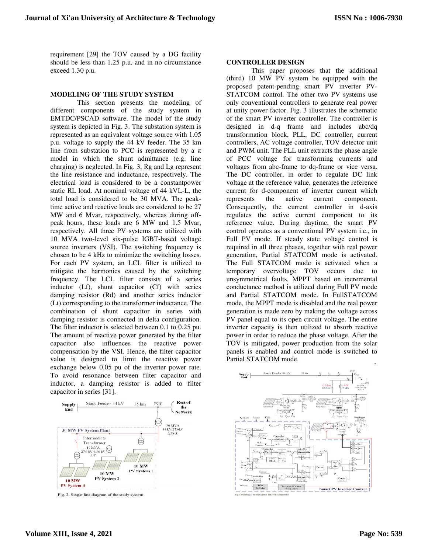requirement [29] the TOV caused by a DG facility should be less than 1.25 p.u. and in no circumstance exceed 1.30 p.u.

### **MODELING OF THE STUDY SYSTEM**

 This section presents the modeling of different components of the study system in EMTDC/PSCAD software. The model of the study system is depicted in Fig. 3. The substation system is represented as an equivalent voltage source with 1.05 p.u. voltage to supply the 44 kV feeder. The 35 km line from substation to PCC is represented by a  $\pi$ model in which the shunt admittance (e.g. line charging) is neglected. In Fig. 3, Rg and Lg represent the line resistance and inductance, respectively. The electrical load is considered to be a constantpower static RL load. At nominal voltage of 44 kVL-L, the total load is considered to be 30 MVA. The peaktime active and reactive loads are considered to be 27 MW and 6 Mvar, respectively, whereas during offpeak hours, these loads are 6 MW and 1.5 Mvar, respectively. All three PV systems are utilized with 10 MVA two-level six-pulse IGBT-based voltage source inverters (VSI). The switching frequency is chosen to be 4 kHz to minimize the switching losses. For each PV system, an LCL filter is utilized to mitigate the harmonics caused by the switching frequency. The LCL filter consists of a series inductor (Lf), shunt capacitor (Cf) with series damping resistor (Rd) and another series inductor (Lt) corresponding to the transformer inductance. The combination of shunt capacitor in series with damping resistor is connected in delta configuration. The filter inductor is selected between 0.1 to 0.25 pu. The amount of reactive power generated by the filter capacitor also influences the reactive power compensation by the VSI. Hence, the filter capacitor value is designed to limit the reactive power exchange below 0.05 pu of the inverter power rate. To avoid resonance between filter capacitor and inductor, a damping resistor is added to filter capacitor in series [31].



Fig. 2. Single line diagram of the study system

#### **CONTROLLER DESIGN**

This paper proposes that the additional (third) 10 MW PV system be equipped with the proposed patent-pending smart PV inverter PV-STATCOM control. The other two PV systems use only conventional controllers to generate real power at unity power factor. Fig. 3 illustrates the schematic of the smart PV inverter controller. The controller is designed in d-q frame and includes abc/dq transformation block, PLL, DC controller, current controllers, AC voltage controller, TOV detector unit and PWM unit. The PLL unit extracts the phase angle of PCC voltage for transforming currents and voltages from abc-frame to dq-frame or vice versa. The DC controller, in order to regulate DC link voltage at the reference value, generates the reference current for d-component of inverter current which represents the active current component. Consequently, the current controller in d-axis regulates the active current component to its reference value. During daytime, the smart PV control operates as a conventional PV system i.e., in Full PV mode. If steady state voltage control is required in all three phases, together with real power generation, Partial STATCOM mode is activated. The Full STATCOM mode is activated when a temporary overvoltage TOV occurs due to unsymmetrical faults. MPPT based on incremental conductance method is utilized during Full PV mode and Partial STATCOM mode. In FullSTATCOM mode, the MPPT mode is disabled and the real power generation is made zero by making the voltage across PV panel equal to its open circuit voltage. The entire inverter capacity is then utilized to absorb reactive power in order to reduce the phase voltage. After the TOV is mitigated, power production from the solar panels is enabled and control mode is switched to Partial STATCOM mode.

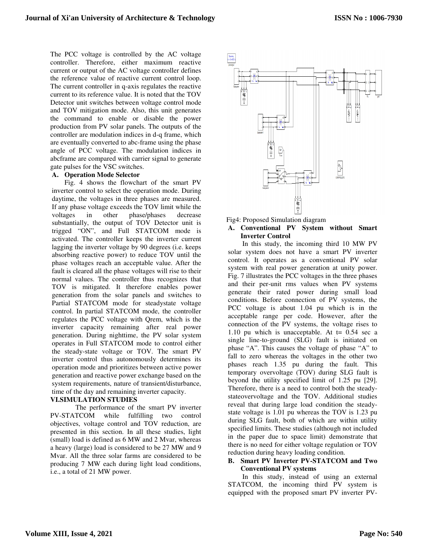The PCC voltage is controlled by the AC voltage controller. Therefore, either maximum reactive current or output of the AC voltage controller defines the reference value of reactive current control loop. The current controller in q-axis regulates the reactive current to its reference value. It is noted that the TOV Detector unit switches between voltage control mode and TOV mitigation mode. Also, this unit generates the command to enable or disable the power production from PV solar panels. The outputs of the controller are modulation indices in d-q frame, which are eventually converted to abc-frame using the phase angle of PCC voltage. The modulation indices in abcframe are compared with carrier signal to generate gate pulses for the VSC switches.

#### **A. Operation Mode Selector**

Fig. 4 shows the flowchart of the smart PV inverter control to select the operation mode. During daytime, the voltages in three phases are measured. If any phase voltage exceeds the TOV limit while the voltages in other phase/phases decrease substantially, the output of TOV Detector unit is trigged "ON", and Full STATCOM mode is activated. The controller keeps the inverter current lagging the inverter voltage by 90 degrees (i.e. keeps absorbing reactive power) to reduce TOV until the phase voltages reach an acceptable value. After the fault is cleared all the phase voltages will rise to their normal values. The controller thus recognizes that TOV is mitigated. It therefore enables power generation from the solar panels and switches to Partial STATCOM mode for steadystate voltage control. In partial STATCOM mode, the controller regulates the PCC voltage with Qrem, which is the inverter capacity remaining after real power generation. During nighttime, the PV solar system operates in Full STATCOM mode to control either the steady-state voltage or TOV. The smart PV inverter control thus autonomously determines its operation mode and prioritizes between active power generation and reactive power exchange based on the system requirements, nature of transient/disturbance, time of the day and remaining inverter capacity.

# **VI.SIMULATION STUDIES**

The performance of the smart PV inverter PV-STATCOM while fulfilling two control objectives, voltage control and TOV reduction, are presented in this section. In all these studies, light (small) load is defined as 6 MW and 2 Mvar, whereas a heavy (large) load is considered to be 27 MW and 9 Mvar. All the three solar farms are considered to be producing 7 MW each during light load conditions, i.e., a total of 21 MW power.



#### Fig4: Proposed Simulation diagram

#### **A. Conventional PV System without Smart Inverter Control**

 In this study, the incoming third 10 MW PV solar system does not have a smart PV inverter control. It operates as a conventional PV solar system with real power generation at unity power. Fig. 7 illustrates the PCC voltages in the three phases and their per-unit rms values when PV systems generate their rated power during small load conditions. Before connection of PV systems, the PCC voltage is about 1.04 pu which is in the acceptable range per code. However, after the connection of the PV systems, the voltage rises to 1.10 pu which is unacceptable. At  $t = 0.54$  sec a single line-to-ground (SLG) fault is initiated on phase "A". This causes the voltage of phase "A" to fall to zero whereas the voltages in the other two phases reach 1.35 pu during the fault. This temporary overvoltage (TOV) during SLG fault is beyond the utility specified limit of 1.25 pu [29]. Therefore, there is a need to control both the steadystateovervoltage and the TOV. Additional studies reveal that during large load condition the steadystate voltage is 1.01 pu whereas the TOV is 1.23 pu during SLG fault, both of which are within utility specified limits. These studies (although not included in the paper due to space limit) demonstrate that there is no need for either voltage regulation or TOV reduction during heavy loading condition.

#### **B. Smart PV Inverter PV-STATCOM and Two Conventional PV systems**

 In this study, instead of using an external STATCOM, the incoming third PV system is equipped with the proposed smart PV inverter PV-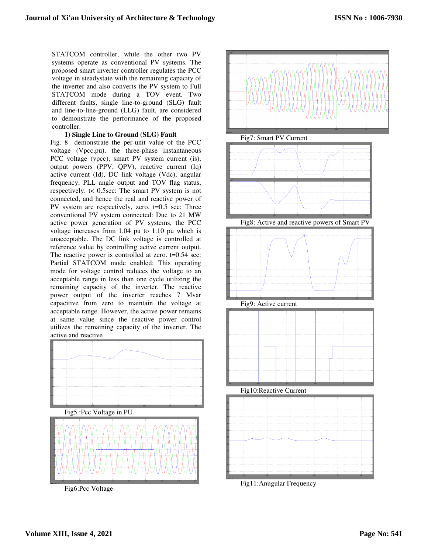STATCOM controller, while the other two PV systems operate as conventional PV systems. The proposed smart inverter controller regulates the PCC voltage in steadystate with the remaining capacity of the inverter and also converts the PV system to Full STATCOM mode during a TOV event. Two different faults, single line-to-ground (SLG) fault and line-to-line-ground (LLG) fault, are considered to demonstrate the performance of the proposed controller.

# **1) Single Line to Ground (SLG) Fault**

Fig. 8 demonstrate the per-unit value of the PCC voltage (Vpcc,pu), the three-phase instantaneous PCC voltage (vpcc), smart PV system current (is), output powers (PPV, QPV), reactive current (Iq) active current (Id), DC link voltage (Vdc), angular frequency, PLL angle output and TOV flag status, respectively. t< 0.5sec: The smart PV system is not connected, and hence the real and reactive power of PV system are respectively, zero. t=0.5 sec: Three conventional PV system connected: Due to 21 MW active power generation of PV systems, the PCC voltage increases from 1.04 pu to 1.10 pu which is unacceptable. The DC link voltage is controlled at reference value by controlling active current output. The reactive power is controlled at zero. t=0.54 sec: Partial STATCOM mode enabled: This operating mode for voltage control reduces the voltage to an acceptable range in less than one cycle utilizing the remaining capacity of the inverter. The reactive power output of the inverter reaches 7 Mvar capacitive from zero to maintain the voltage at acceptable range. However, the active power remains at same value since the reactive power control utilizes the remaining capacity of the inverter. The active and reactive



Fig6:Pcc Voltage



Fig11:Anugular Frequency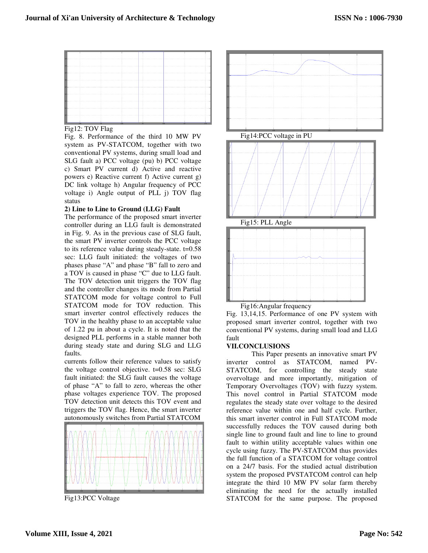

# Fig12: TOV Flag

Fig. 8. Performance of the third 10 MW PV system as PV-STATCOM, together with two conventional PV systems, during small load and SLG fault a) PCC voltage (pu) b) PCC voltage c) Smart PV current d) Active and reactive powers e) Reactive current f) Active current g) DC link voltage h) Angular frequency of PCC voltage i) Angle output of PLL j) TOV flag status

# **2) Line to Line to Ground (LLG) Fault**

The performance of the proposed smart inverter controller during an LLG fault is demonstrated in Fig. 9. As in the previous case of SLG fault, the smart PV inverter controls the PCC voltage to its reference value during steady-state. t=0.58 sec: LLG fault initiated: the voltages of two phases phase "A" and phase "B" fall to zero and a TOV is caused in phase "C" due to LLG fault. The TOV detection unit triggers the TOV flag and the controller changes its mode from Partial STATCOM mode for voltage control to Full STATCOM mode for TOV reduction. This smart inverter control effectively reduces the TOV in the healthy phase to an acceptable value of 1.22 pu in about a cycle. It is noted that the designed PLL performs in a stable manner both during steady state and during SLG and LLG faults.

currents follow their reference values to satisfy the voltage control objective. t=0.58 sec: SLG fault initiated: the SLG fault causes the voltage of phase "A" to fall to zero, whereas the other phase voltages experience TOV. The proposed TOV detection unit detects this TOV event and triggers the TOV flag. Hence, the smart inverter autonomously switches from Partial STATCOM



Fig13:PCC Voltage



Fig. 13,14,15. Performance of one PV system with proposed smart inverter control, together with two conventional PV systems, during small load and LLG fault

# **VII.CONCLUSIONS**

 This Paper presents an innovative smart PV inverter control as STATCOM, named PV-STATCOM, for controlling the steady state overvoltage and more importantly, mitigation of Temporary Overvoltages (TOV) with fuzzy system. This novel control in Partial STATCOM mode regulates the steady state over voltage to the desired reference value within one and half cycle. Further, this smart inverter control in Full STATCOM mode successfully reduces the TOV caused during both single line to ground fault and line to line to ground fault to within utility acceptable values within one cycle using fuzzy. The PV-STATCOM thus provides the full function of a STATCOM for voltage control on a 24/7 basis. For the studied actual distribution system the proposed PVSTATCOM control can help integrate the third 10 MW PV solar farm thereby eliminating the need for the actually installed STATCOM for the same purpose. The proposed